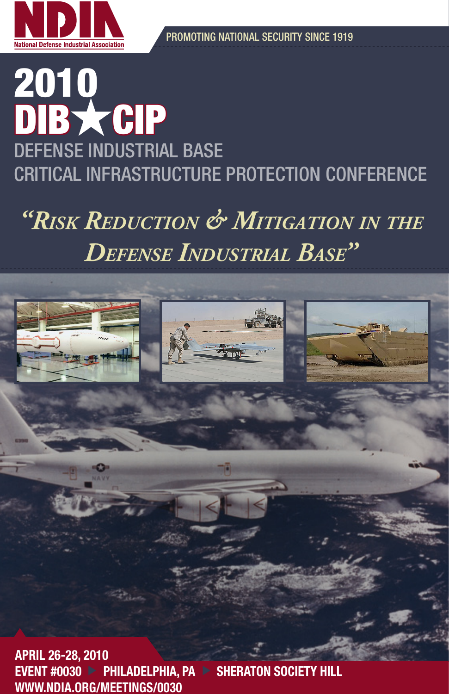

# 2010 DIB \* CIP DEFENSE INDUSTRIAL BASE CRITICAL INFRASTRUCTURE PROTECTION CONFERENCE

*"Risk Reduction & Mitigation in the defense industRial Base"*



EVENT #0030 > PHILADELPHIA, PA > SHERATON SOCIETY HILL WWW.NDIA.ORG/MEETINGS/0030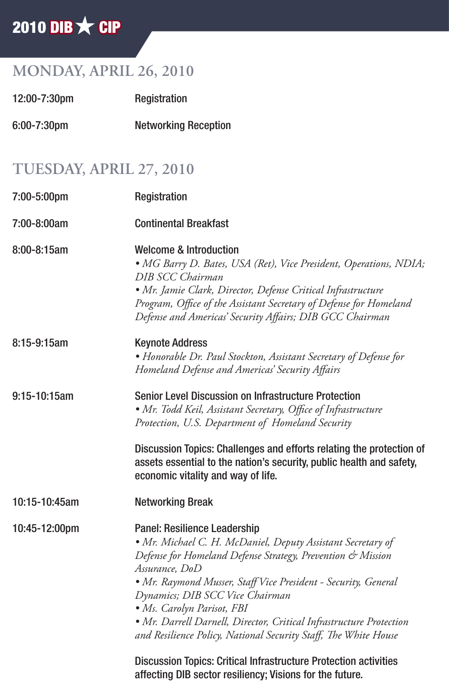# 2010 DIB  $\bigstar$  CIP

## **MONDAY, APRIL 26, 2010**

| 12:00-7:30pm     | Registration                |  |
|------------------|-----------------------------|--|
| $6:00 - 7:30$ pm | <b>Networking Reception</b> |  |

### **TUESDAY, APRIL 27, 2010**

| 7:00-5:00pm      | Registration                                                                                                                                                                                                                                                                                                                                                                                                                                              |
|------------------|-----------------------------------------------------------------------------------------------------------------------------------------------------------------------------------------------------------------------------------------------------------------------------------------------------------------------------------------------------------------------------------------------------------------------------------------------------------|
| 7:00-8:00am      | <b>Continental Breakfast</b>                                                                                                                                                                                                                                                                                                                                                                                                                              |
| $8:00 - 8:15$ am | Welcome & Introduction<br>• MG Barry D. Bates, USA (Ret), Vice President, Operations, NDIA;<br>DIB SCC Chairman<br>· Mr. Jamie Clark, Director, Defense Critical Infrastructure<br>Program, Office of the Assistant Secretary of Defense for Homeland<br>Defense and Americas' Security Affairs; DIB GCC Chairman                                                                                                                                         |
| 8:15-9:15am      | <b>Keynote Address</b><br>• Honorable Dr. Paul Stockton, Assistant Secretary of Defense for<br>Homeland Defense and Americas' Security Affairs                                                                                                                                                                                                                                                                                                            |
| 9:15-10:15am     | Senior Level Discussion on Infrastructure Protection<br>• Mr. Todd Keil, Assistant Secretary, Office of Infrastructure<br>Protection, U.S. Department of Homeland Security                                                                                                                                                                                                                                                                                |
|                  | Discussion Topics: Challenges and efforts relating the protection of<br>assets essential to the nation's security, public health and safety,<br>economic vitality and way of life.                                                                                                                                                                                                                                                                        |
| 10:15-10:45am    | <b>Networking Break</b>                                                                                                                                                                                                                                                                                                                                                                                                                                   |
| 10:45-12:00pm    | Panel: Resilience Leadership<br>• Mr. Michael C. H. McDaniel, Deputy Assistant Secretary of<br>Defense for Homeland Defense Strategy, Prevention & Mission<br>Assurance, DoD<br>• Mr. Raymond Musser, Staff Vice President - Security, General<br>Dynamics; DIB SCC Vice Chairman<br>· Ms. Carolyn Parisot, FBI<br>• Mr. Darrell Darnell, Director, Critical Infrastructure Protection<br>and Resilience Policy, National Security Staff, The White House |
|                  | Discussion Topics: Critical Infrastructure Protection activities<br>affecting DIB sector resiliency; Visions for the future.                                                                                                                                                                                                                                                                                                                              |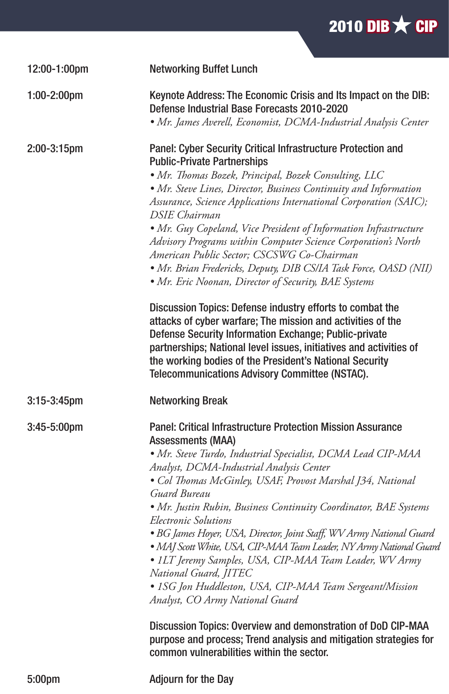

| 12:00-1:00pm   | <b>Networking Buffet Lunch</b>                                                                                                                                                                                                                                                                                                                                                                                                                                                                                                                                                                                                                                                                                                                                                                                                                                                                                                                            |
|----------------|-----------------------------------------------------------------------------------------------------------------------------------------------------------------------------------------------------------------------------------------------------------------------------------------------------------------------------------------------------------------------------------------------------------------------------------------------------------------------------------------------------------------------------------------------------------------------------------------------------------------------------------------------------------------------------------------------------------------------------------------------------------------------------------------------------------------------------------------------------------------------------------------------------------------------------------------------------------|
| $1:00-2:00$ pm | Keynote Address: The Economic Crisis and Its Impact on the DIB:<br>Defense Industrial Base Forecasts 2010-2020<br>• Mr. James Averell, Economist, DCMA-Industrial Analysis Center                                                                                                                                                                                                                                                                                                                                                                                                                                                                                                                                                                                                                                                                                                                                                                         |
| 2:00-3:15pm    | Panel: Cyber Security Critical Infrastructure Protection and<br><b>Public-Private Partnerships</b><br>• Mr. Thomas Bozek, Principal, Bozek Consulting, LLC<br>• Mr. Steve Lines, Director, Business Continuity and Information<br>Assurance, Science Applications International Corporation (SAIC);<br>DSIE Chairman<br>• Mr. Guy Copeland, Vice President of Information Infrastructure<br>Advisory Programs within Computer Science Corporation's North<br>American Public Sector; CSCSWG Co-Chairman<br>• Mr. Brian Fredericks, Deputy, DIB CS/IA Task Force, OASD (NII)<br>• Mr. Eric Noonan, Director of Security, BAE Systems<br>Discussion Topics: Defense industry efforts to combat the<br>attacks of cyber warfare; The mission and activities of the<br>Defense Security Information Exchange; Public-private<br>partnerships; National level issues, initiatives and activities of<br>the working bodies of the President's National Security |
|                | Telecommunications Advisory Committee (NSTAC).                                                                                                                                                                                                                                                                                                                                                                                                                                                                                                                                                                                                                                                                                                                                                                                                                                                                                                            |
| 3:15-3:45pm    | <b>Networking Break</b>                                                                                                                                                                                                                                                                                                                                                                                                                                                                                                                                                                                                                                                                                                                                                                                                                                                                                                                                   |
| 3:45-5:00pm    | Panel: Critical Infrastructure Protection Mission Assurance<br><b>Assessments (MAA)</b><br>· Mr. Steve Turdo, Industrial Specialist, DCMA Lead CIP-MAA<br>Analyst, DCMA-Industrial Analysis Center<br>• Col Thomas McGinley, USAF, Provost Marshal J34, National<br>Guard Bureau<br>• Mr. Justin Rubin, Business Continuity Coordinator, BAE Systems<br>Electronic Solutions<br>· BG James Hoyer, USA, Director, Joint Staff, WV Army National Guard<br>· MAJ Scott White, USA, CIP-MAA Team Leader, NY Army National Guard<br>• ILT Jeremy Samples, USA, CIP-MAA Team Leader, WV Army<br>National Guard, JITEC<br>• 1SG Jon Huddleston, USA, CIP-MAA Team Sergeant/Mission<br>Analyst, CO Army National Guard<br>Discussion Topics: Overview and demonstration of DoD CIP-MAA<br>purpose and process; Trend analysis and mitigation strategies for<br>common vulnerabilities within the sector.                                                          |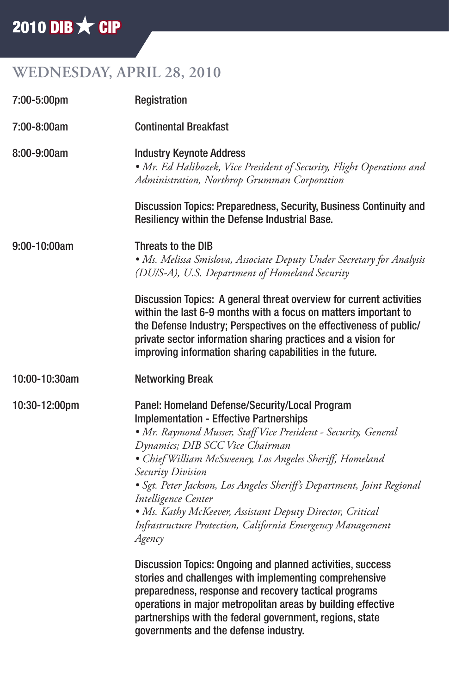# 2010 DIB  $\bigstar$  CIP

## **WEDNESDAY, APRIL 28, 2010**

| 7:00-5:00pm   | Registration                                                                                                                                                                                                                                                                                                                                                                                                                                                                                                                 |
|---------------|------------------------------------------------------------------------------------------------------------------------------------------------------------------------------------------------------------------------------------------------------------------------------------------------------------------------------------------------------------------------------------------------------------------------------------------------------------------------------------------------------------------------------|
| 7:00-8:00am   | <b>Continental Breakfast</b>                                                                                                                                                                                                                                                                                                                                                                                                                                                                                                 |
| 8:00-9:00am   | <b>Industry Keynote Address</b><br>• Mr. Ed Halibozek, Vice President of Security, Flight Operations and<br>Administration, Northrop Grumman Corporation                                                                                                                                                                                                                                                                                                                                                                     |
|               | Discussion Topics: Preparedness, Security, Business Continuity and<br>Resiliency within the Defense Industrial Base.                                                                                                                                                                                                                                                                                                                                                                                                         |
| 9:00-10:00am  | Threats to the DIB<br>• Ms. Melissa Smislova, Associate Deputy Under Secretary for Analysis<br>(DU/S-A), U.S. Department of Homeland Security                                                                                                                                                                                                                                                                                                                                                                                |
|               | Discussion Topics: A general threat overview for current activities<br>within the last 6-9 months with a focus on matters important to<br>the Defense Industry; Perspectives on the effectiveness of public/<br>private sector information sharing practices and a vision for<br>improving information sharing capabilities in the future.                                                                                                                                                                                   |
| 10:00-10:30am | <b>Networking Break</b>                                                                                                                                                                                                                                                                                                                                                                                                                                                                                                      |
| 10:30-12:00pm | Panel: Homeland Defense/Security/Local Program<br><b>Implementation - Effective Partnerships</b><br>• Mr. Raymond Musser, Staff Vice President - Security, General<br>Dynamics; DIB SCC Vice Chairman<br>• Chief William McSweeney, Los Angeles Sheriff, Homeland<br>Security Division<br>· Sgt. Peter Jackson, Los Angeles Sheriff's Department, Joint Regional<br>Intelligence Center<br>• Ms. Kathy McKeever, Assistant Deputy Director, Critical<br>Infrastructure Protection, California Emergency Management<br>Agency |
|               | Discussion Topics: Ongoing and planned activities, success<br>stories and challenges with implementing comprehensive<br>preparedness, response and recovery tactical programs<br>operations in major metropolitan areas by building effective<br>partnerships with the federal government, regions, state                                                                                                                                                                                                                    |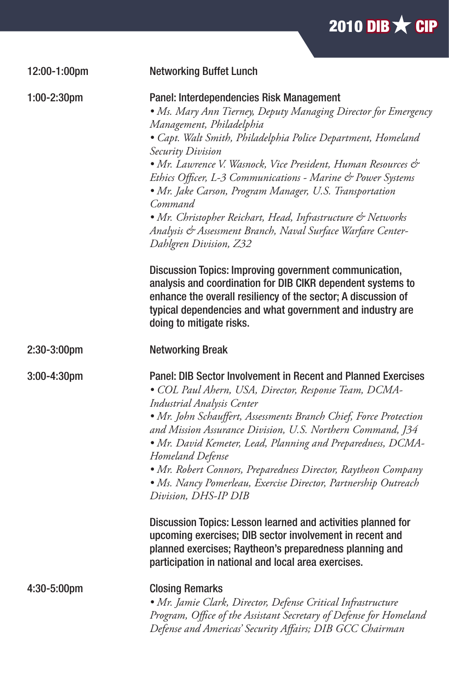| 2010 DIB $\times$ CIP |  |  |  |
|-----------------------|--|--|--|
|                       |  |  |  |
|                       |  |  |  |

| 12:00-1:00pm          | <b>Networking Buffet Lunch</b>                                                                                                                                                                                                                                                                                                                                                                                                                                                                                                                                                                                                                                                                                                                                                                                                                                              |
|-----------------------|-----------------------------------------------------------------------------------------------------------------------------------------------------------------------------------------------------------------------------------------------------------------------------------------------------------------------------------------------------------------------------------------------------------------------------------------------------------------------------------------------------------------------------------------------------------------------------------------------------------------------------------------------------------------------------------------------------------------------------------------------------------------------------------------------------------------------------------------------------------------------------|
| $1:00-2:30$ pm        | Panel: Interdependencies Risk Management<br>• Ms. Mary Ann Tierney, Deputy Managing Director for Emergency<br>Management, Philadelphia<br>• Capt. Walt Smith, Philadelphia Police Department, Homeland<br>Security Division<br>• Mr. Lawrence V. Wasnock, Vice President, Human Resources &<br>Ethics Officer, L-3 Communications - Marine & Power Systems<br>· Mr. Jake Carson, Program Manager, U.S. Transportation<br>Command<br>• Mr. Christopher Reichart, Head, Infrastructure & Networks<br>Analysis & Assessment Branch, Naval Surface Warfare Center-<br>Dahlgren Division, Z32<br>Discussion Topics: Improving government communication,<br>analysis and coordination for DIB CIKR dependent systems to<br>enhance the overall resiliency of the sector; A discussion of<br>typical dependencies and what government and industry are<br>doing to mitigate risks. |
| 2:30-3:00pm           | <b>Networking Break</b>                                                                                                                                                                                                                                                                                                                                                                                                                                                                                                                                                                                                                                                                                                                                                                                                                                                     |
| 3:00-4:30pm           | Panel: DIB Sector Involvement in Recent and Planned Exercises<br>· COL Paul Ahern, USA, Director, Response Team, DCMA-<br><b>Industrial Analysis Center</b><br>· Mr. John Schauffert, Assessments Branch Chief, Force Protection<br>and Mission Assurance Division, U.S. Northern Command, J34<br>· Mr. David Kemeter, Lead, Planning and Preparedness, DCMA-<br>Homeland Defense<br>• Mr. Robert Connors, Preparedness Director, Raytheon Company<br>• Ms. Nancy Pomerleau, Exercise Director, Partnership Outreach<br>Division, DHS-IP DIB<br>Discussion Topics: Lesson learned and activities planned for<br>upcoming exercises; DIB sector involvement in recent and<br>planned exercises; Raytheon's preparedness planning and<br>participation in national and local area exercises.                                                                                  |
| $4:30-5:00 \text{pm}$ | <b>Closing Remarks</b>                                                                                                                                                                                                                                                                                                                                                                                                                                                                                                                                                                                                                                                                                                                                                                                                                                                      |
|                       | • Mr. Jamie Clark, Director, Defense Critical Infrastructure<br>Program, Office of the Assistant Secretary of Defense for Homeland<br>Defense and Americas' Security Affairs; DIB GCC Chairman                                                                                                                                                                                                                                                                                                                                                                                                                                                                                                                                                                                                                                                                              |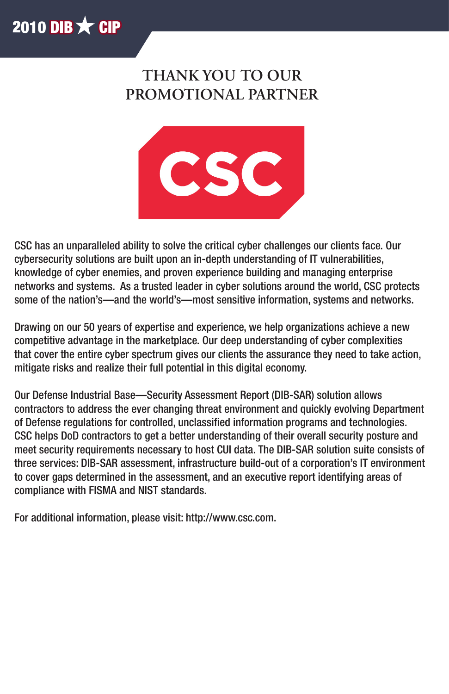

## **THANK YOU TO OUR PROMOTIONAL PARTNER**



CSC has an unparalleled ability to solve the critical cyber challenges our clients face. Our cybersecurity solutions are built upon an in-depth understanding of IT vulnerabilities, knowledge of cyber enemies, and proven experience building and managing enterprise networks and systems. As a trusted leader in cyber solutions around the world, CSC protects some of the nation's—and the world's—most sensitive information, systems and networks.

Drawing on our 50 years of expertise and experience, we help organizations achieve a new competitive advantage in the marketplace. Our deep understanding of cyber complexities that cover the entire cyber spectrum gives our clients the assurance they need to take action, mitigate risks and realize their full potential in this digital economy.

Our Defense Industrial Base—Security Assessment Report (DIB-SAR) solution allows contractors to address the ever changing threat environment and quickly evolving Department of Defense regulations for controlled, unclassified information programs and technologies. CSC helps DoD contractors to get a better understanding of their overall security posture and meet security requirements necessary to host CUI data. The DIB-SAR solution suite consists of three services: DIB-SAR assessment, infrastructure build-out of a corporation's IT environment to cover gaps determined in the assessment, and an executive report identifying areas of compliance with FISMA and NIST standards.

For additional information, please visit: http://www.csc.com.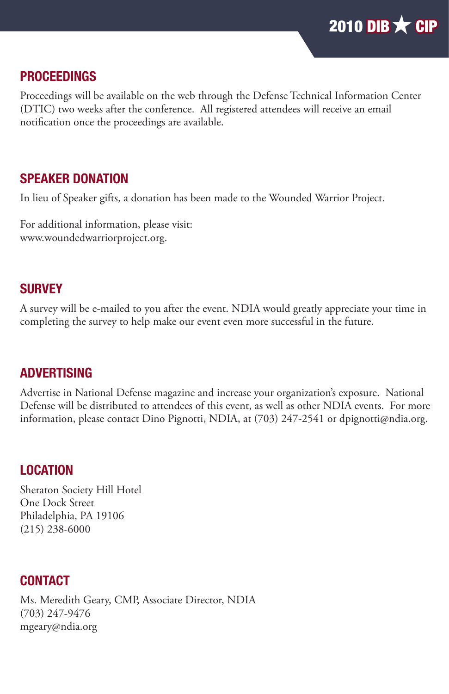

#### PROCEEDINGS

Proceedings will be available on the web through the Defense Technical Information Center (DTIC) two weeks after the conference. All registered attendees will receive an email notification once the proceedings are available.

#### SPEAKER DONATION

In lieu of Speaker gifts, a donation has been made to the Wounded Warrior Project.

For additional information, please visit: www.woundedwarriorproject.org.

#### **SURVEY**

A survey will be e-mailed to you after the event. NDIA would greatly appreciate your time in completing the survey to help make our event even more successful in the future.

#### ADVERTISING

Advertise in National Defense magazine and increase your organization's exposure. National Defense will be distributed to attendees of this event, as well as other NDIA events. For more information, please contact Dino Pignotti, NDIA, at (703) 247-2541 or dpignotti@ndia.org.

#### LOCATION

Sheraton Society Hill Hotel One Dock Street Philadelphia, PA 19106 (215) 238-6000

#### **CONTACT**

Ms. Meredith Geary, CMP, Associate Director, NDIA (703) 247-9476 mgeary@ndia.org